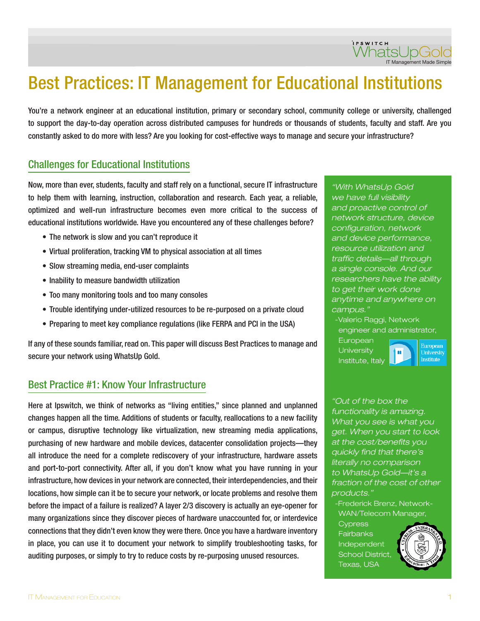# Best Practices: IT Management for Educational Institutions

You're a network engineer at an educational institution, primary or secondary school, community college or university, challenged to support the day-to-day operation across distributed campuses for hundreds or thousands of students, faculty and staff. Are you constantly asked to do more with less? Are you looking for cost-effective ways to manage and secure your infrastructure?

#### Challenges for Educational Institutions

Now, more than ever, students, faculty and staff rely on a functional, secure IT infrastructure to help them with learning, instruction, collaboration and research. Each year, a reliable, optimized and well-run infrastructure becomes even more critical to the success of educational institutions worldwide. Have you encountered any of these challenges before?

- The network is slow and you can't reproduce it
- Virtual proliferation, tracking VM to physical association at all times
- Slow streaming media, end-user complaints
- Inability to measure bandwidth utilization
- Too many monitoring tools and too many consoles
- Trouble identifying under-utilized resources to be re-purposed on a private cloud
- Preparing to meet key compliance regulations (like FERPA and PCI in the USA)

If any of these sounds familiar, read on. This paper will discuss Best Practices to manage and secure your network using WhatsUp Gold.

#### Best Practice #1: Know Your Infrastructure

Here at Ipswitch, we think of networks as "living entities," since planned and unplanned changes happen all the time. Additions of students or faculty, reallocations to a new facility or campus, disruptive technology like virtualization, new streaming media applications, purchasing of new hardware and mobile devices, datacenter consolidation projects—they all introduce the need for a complete rediscovery of your infrastructure, hardware assets and port-to-port connectivity. After all, if you don't know what you have running in your infrastructure, how devices in your network are connected, their interdependencies, and their locations, how simple can it be to secure your network, or locate problems and resolve them before the impact of a failure is realized? A layer 2/3 discovery is actually an eye-opener for many organizations since they discover pieces of hardware unaccounted for, or interdevice connections that they didn't even know they were there. Once you have a hardware inventory in place, you can use it to document your network to simplify troubleshooting tasks, for auditing purposes, or simply to try to reduce costs by re-purposing unused resources.

"With WhatsUp Gold we have full visibility and proactive control of network structure, device configuration, network and device performance, resource utilization and traffic details—all through a single console. And our researchers have the ability to get their work done anytime and anywhere on campus."

-Valerio Raggi, Network engineer and administrator,

hш

**European University** Institute, Italy

European **University** Institute

"Out of the box the functionality is amazing. What you see is what you get. When you start to look at the cost/benefits you quickly find that there's literally no comparison to WhatsUp Gold—it's a fraction of the cost of other products."

-Frederick Brenz, Network-WAN/Telecom Manager,

Cypress **Fairbanks** Independent School District, Texas, USA

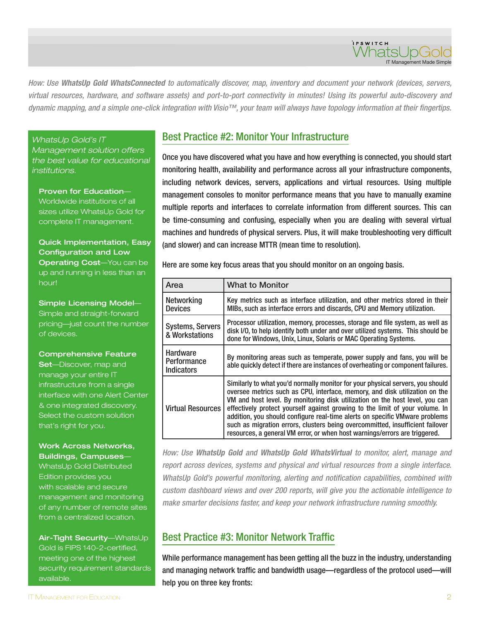How: Use *WhatsUp Gold WhatsConnected* to automatically discover, map, inventory and document your network (devices, servers, virtual resources, hardware, and software assets) and port-to-port connectivity in minutes! Using its powerful auto-discovery and dynamic mapping, and a simple one-click integration with Visio™, your team will always have topology information at their fingertips.

WhatsUp Gold's IT

Management solution offers the best value for educational institutions.

Proven for Education— Worldwide institutions of all sizes utilize WhatsUp Gold for complete IT management.

Quick Implementation, Easy Configuration and Low Operating Cost-You can be up and running in less than an hour!

Simple Licensing Model— Simple and straight-forward pricing—just count the number of devices.

Comprehensive Feature

**Set**—Discover, map and manage your entire IT infrastructure from a single interface with one Alert Center & one integrated discovery. Select the custom solution that's right for you.

#### Work Across Networks, Buildings, Campuses—

WhatsUp Gold Distributed Edition provides you with scalable and secure management and monitoring of any number of remote sites from a centralized location.

Air-Tight Security—WhatsUp Gold is FIPS 140-2-certified, meeting one of the highest security requirement standards available.

### Best Practice #2: Monitor Your Infrastructure

Once you have discovered what you have and how everything is connected, you should start monitoring health, availability and performance across all your infrastructure components, including network devices, servers, applications and virtual resources. Using multiple management consoles to monitor performance means that you have to manually examine multiple reports and interfaces to correlate information from different sources. This can be time-consuming and confusing, especially when you are dealing with several virtual machines and hundreds of physical servers. Plus, it will make troubleshooting very difficult (and slower) and can increase MTTR (mean time to resolution).

Here are some key focus areas that you should monitor on an ongoing basis.

| Area                                         | <b>What to Monitor</b>                                                                                                                                                                                                                                                                                                                                                                                                                                                                                                                                                      |
|----------------------------------------------|-----------------------------------------------------------------------------------------------------------------------------------------------------------------------------------------------------------------------------------------------------------------------------------------------------------------------------------------------------------------------------------------------------------------------------------------------------------------------------------------------------------------------------------------------------------------------------|
| <b>Networking</b><br><b>Devices</b>          | Key metrics such as interface utilization, and other metrics stored in their<br>MIBs, such as interface errors and discards, CPU and Memory utilization.                                                                                                                                                                                                                                                                                                                                                                                                                    |
| <b>Systems, Servers</b><br>& Workstations    | Processor utilization, memory, processes, storage and file system, as well as<br>disk I/O, to help identify both under and over utilized systems. This should be<br>done for Windows, Unix, Linux, Solaris or MAC Operating Systems.                                                                                                                                                                                                                                                                                                                                        |
| Hardware<br>Performance<br><b>Indicators</b> | By monitoring areas such as temperate, power supply and fans, you will be<br>able quickly detect if there are instances of overheating or component failures.                                                                                                                                                                                                                                                                                                                                                                                                               |
| <b>Virtual Resources</b>                     | Similarly to what you'd normally monitor for your physical servers, you should<br>oversee metrics such as CPU, interface, memory, and disk utilization on the<br>VM and host level. By monitoring disk utilization on the host level, you can<br>effectively protect yourself against growing to the limit of your volume. In<br>addition, you should configure real-time alerts on specific VMware problems<br>such as migration errors, clusters being overcommitted, insufficient failover<br>resources, a general VM error, or when host warnings/errors are triggered. |

How: Use *WhatsUp Gold* and *WhatsUp Gold WhatsVirtual* to monitor, alert, manage and report across devices, systems and physical and virtual resources from a single interface. WhatsUp Gold's powerful monitoring, alerting and notification capabilities, combined with custom dashboard views and over 200 reports, will give you the actionable intelligence to make smarter decisions faster, and keep your network infrastructure running smoothly.

#### Best Practice #3: Monitor Network Traffic

While performance management has been getting all the buzz in the industry, understanding and managing network traffic and bandwidth usage—regardless of the protocol used—will help you on three key fronts:

IT Management Made Simple

irswitch<br>Whatsl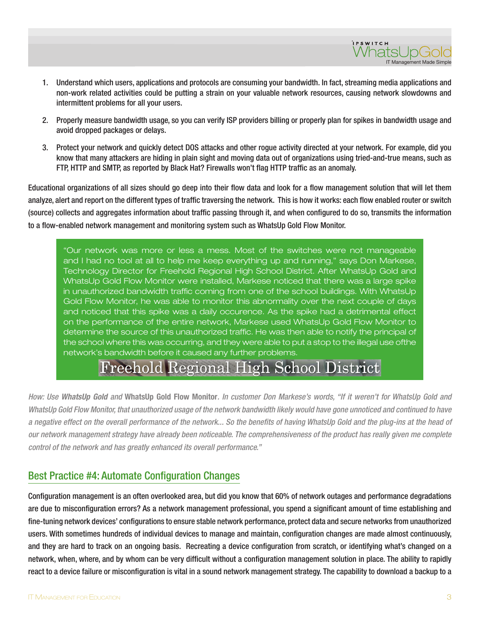

- 1. Understand which users, applications and protocols are consuming your bandwidth. In fact, streaming media applications and non-work related activities could be putting a strain on your valuable network resources, causing network slowdowns and intermittent problems for all your users.
- 2. Properly measure bandwidth usage, so you can verify ISP providers billing or properly plan for spikes in bandwidth usage and avoid dropped packages or delays.
- 3. Protect your network and quickly detect DOS attacks and other rogue activity directed at your network. For example, did you know that many attackers are hiding in plain sight and moving data out of organizations using tried-and-true means, such as FTP, HTTP and SMTP, as reported by Black Hat? Firewalls won't flag HTTP traffic as an anomaly.

Educational organizations of all sizes should go deep into their flow data and look for a flow management solution that will let them analyze, alert and report on the different types of traffic traversing the network. This is how it works: each flow enabled router or switch (source) collects and aggregates information about traffic passing through it, and when configured to do so, transmits the information to a flow-enabled network management and monitoring system such as WhatsUp Gold Flow Monitor.

"Our network was more or less a mess. Most of the switches were not manageable and I had no tool at all to help me keep everything up and running," says Don Markese, Technology Director for Freehold Regional High School District. After WhatsUp Gold and WhatsUp Gold Flow Monitor were installed, Markese noticed that there was a large spike in unauthorized bandwidth traffic coming from one of the school buildings. With WhatsUp Gold Flow Monitor, he was able to monitor this abnormality over the next couple of days and noticed that this spike was a daily occurence. As the spike had a detrimental effect on the performance of the entire network, Markese used WhatsUp Gold Flow Monitor to determine the source of this unauthorized traffic. He was then able to notify the principal of the school where this was occurring, and they were able to put a stop to the illegal use ofthe network's bandwidth before it caused any further problems.

## **Freehold Regional High School District**

How: Use *WhatsUp Gold* and **WhatsUp Gold Flow Monitor**. In customer Don Markese's words, "If it weren't for WhatsUp Gold and WhatsUp Gold Flow Monitor, that unauthorized usage of the network bandwidth likely would have gone unnoticed and continued to have a negative effect on the overall performance of the network... So the benefits of having WhatsUp Gold and the plug-ins at the head of our network management strategy have already been noticeable. The comprehensiveness of the product has really given me complete control of the network and has greatly enhanced its overall performance."

#### Best Practice #4: Automate Configuration Changes

Configuration management is an often overlooked area, but did you know that 60% of network outages and performance degradations are due to misconfiguration errors? As a network management professional, you spend a significant amount of time establishing and fine-tuning network devices' configurations to ensure stable network performance, protect data and secure networks from unauthorized users. With sometimes hundreds of individual devices to manage and maintain, configuration changes are made almost continuously, and they are hard to track on an ongoing basis. Recreating a device configuration from scratch, or identifying what's changed on a network, when, where, and by whom can be very difficult without a configuration management solution in place. The ability to rapidly react to a device failure or misconfiguration is vital in a sound network management strategy. The capability to download a backup to a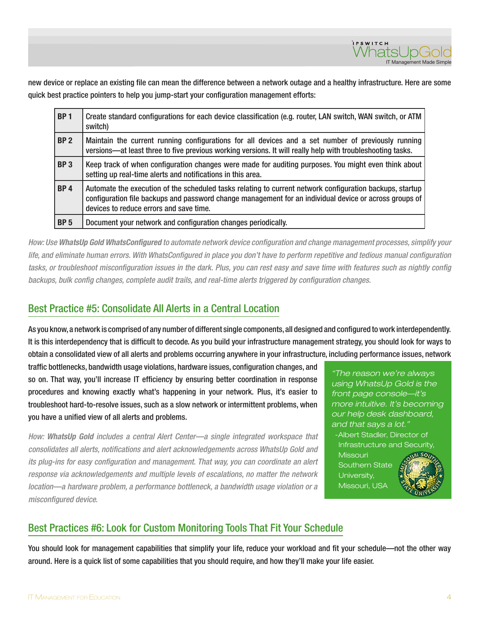

new device or replace an existing file can mean the difference between a network outage and a healthy infrastructure. Here are some quick best practice pointers to help you jump-start your configuration management efforts:

| BP <sub>1</sub> | Create standard configurations for each device classification (e.g. router, LAN switch, WAN switch, or ATM<br>switch)                                                                                                                                         |
|-----------------|---------------------------------------------------------------------------------------------------------------------------------------------------------------------------------------------------------------------------------------------------------------|
| BP <sub>2</sub> | Maintain the current running configurations for all devices and a set number of previously running<br>versions—at least three to five previous working versions. It will really help with troubleshooting tasks.                                              |
| BP3             | Keep track of when configuration changes were made for auditing purposes. You might even think about<br>setting up real-time alerts and notifications in this area.                                                                                           |
| BP4             | Automate the execution of the scheduled tasks relating to current network configuration backups, startup<br>configuration file backups and password change management for an individual device or across groups of<br>devices to reduce errors and save time. |
| BP <sub>5</sub> | Document your network and configuration changes periodically.                                                                                                                                                                                                 |

How: Use *WhatsUp Gold WhatsConfigured* to automate network device configuration and change management processes, simplify your life, and eliminate human errors. With WhatsConfigured in place you don't have to perform repetitive and tedious manual configuration tasks, or troubleshoot misconfiguration issues in the dark. Plus, you can rest easy and save time with features such as nightly config backups, bulk config changes, complete audit trails, and real-time alerts triggered by configuration changes.

#### Best Practice #5: Consolidate All Alerts in a Central Location

As you know, a network is comprised of any number of different single components, all designed and configured to work interdependently. It is this interdependency that is difficult to decode. As you build your infrastructure management strategy, you should look for ways to obtain a consolidated view of all alerts and problems occurring anywhere in your infrastructure, including performance issues, network

traffic bottlenecks, bandwidth usage violations, hardware issues, configuration changes, and so on. That way, you'll increase IT efficiency by ensuring better coordination in response procedures and knowing exactly what's happening in your network. Plus, it's easier to troubleshoot hard-to-resolve issues, such as a slow network or intermittent problems, when you have a unified view of all alerts and problems.

How: *WhatsUp Gold* includes a central Alert Center—a single integrated workspace that consolidates all alerts, notifications and alert acknowledgements across WhatsUp Gold and its plug-ins for easy configuration and management. That way, you can coordinate an alert response via acknowledgements and multiple levels of escalations, no matter the network location—a hardware problem, a performance bottleneck, a bandwidth usage violation or a misconfigured device.

"The reason we're always using WhatsUp Gold is the front page console—it's more intuitive. It's becoming our help desk dashboard, and that says a lot."

-Albert Stadler, Director of Infrastructure and Security,

**Missouri** Southern State University, Missouri, USA



## Best Practices #6: Look for Custom Monitoring Tools That Fit Your Schedule

You should look for management capabilities that simplify your life, reduce your workload and fit your schedule—not the other way around. Here is a quick list of some capabilities that you should require, and how they'll make your life easier.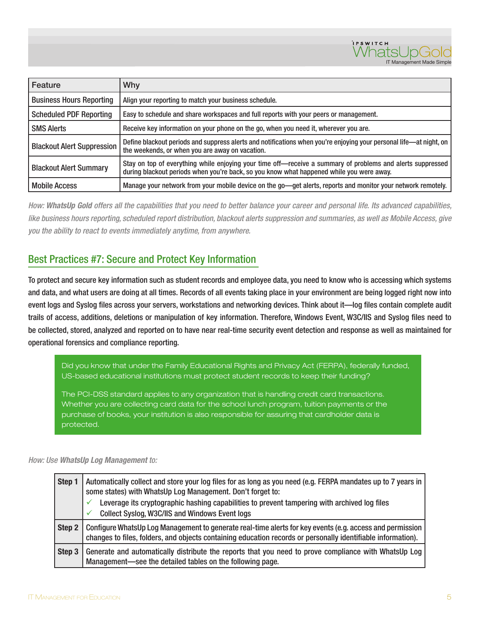

| Feature                           | <b>Why</b>                                                                                                                                                                                             |
|-----------------------------------|--------------------------------------------------------------------------------------------------------------------------------------------------------------------------------------------------------|
| <b>Business Hours Reporting</b>   | Align your reporting to match your business schedule.                                                                                                                                                  |
| <b>Scheduled PDF Reporting</b>    | Easy to schedule and share workspaces and full reports with your peers or management.                                                                                                                  |
| <b>SMS Alerts</b>                 | Receive key information on your phone on the go, when you need it, wherever you are.                                                                                                                   |
| <b>Blackout Alert Suppression</b> | Define blackout periods and suppress alerts and notifications when you're enjoying your personal life—at night, on<br>the weekends, or when you are away on vacation.                                  |
| <b>Blackout Alert Summary</b>     | Stay on top of everything while enjoying your time off—receive a summary of problems and alerts suppressed<br>during blackout periods when you're back, so you know what happened while you were away. |
| <b>Mobile Access</b>              | Manage your network from your mobile device on the go-get alerts, reports and monitor your network remotely.                                                                                           |

How: *WhatsUp Gold* offers all the capabilities that you need to better balance your career and personal life. Its advanced capabilities, like business hours reporting, scheduled report distribution, blackout alerts suppression and summaries, as well as Mobile Access, give you the ability to react to events immediately anytime, from anywhere.

#### Best Practices #7: Secure and Protect Key Information

To protect and secure key information such as student records and employee data, you need to know who is accessing which systems and data, and what users are doing at all times. Records of all events taking place in your environment are being logged right now into event logs and Syslog files across your servers, workstations and networking devices. Think about it—log files contain complete audit trails of access, additions, deletions or manipulation of key information. Therefore, Windows Event, W3C/IIS and Syslog files need to be collected, stored, analyzed and reported on to have near real-time security event detection and response as well as maintained for operational forensics and compliance reporting.

Did you know that under the Family Educational Rights and Privacy Act (FERPA), federally funded, US-based educational institutions must protect student records to keep their funding?

The PCI-DSS standard applies to any organization that is handling credit card transactions. Whether you are collecting card data for the school lunch program, tuition payments or the purchase of books, your institution is also responsible for assuring that cardholder data is protected.

#### How: Use *WhatsUp Log Management* to:

| Step 1 | Automatically collect and store your log files for as long as you need (e.g. FERPA mandates up to 7 years in<br>some states) with WhatsUp Log Management. Don't forget to:<br>Leverage its cryptographic hashing capabilities to prevent tampering with archived log files<br><b>Collect Syslog, W3C/IIS and Windows Event logs</b> |
|--------|-------------------------------------------------------------------------------------------------------------------------------------------------------------------------------------------------------------------------------------------------------------------------------------------------------------------------------------|
| Step 2 | Configure WhatsUp Log Management to generate real-time alerts for key events (e.g. access and permission<br>changes to files, folders, and objects containing education records or personally identifiable information).                                                                                                            |
| Step 3 | Generate and automatically distribute the reports that you need to prove compliance with WhatsUp Log<br>Management-see the detailed tables on the following page.                                                                                                                                                                   |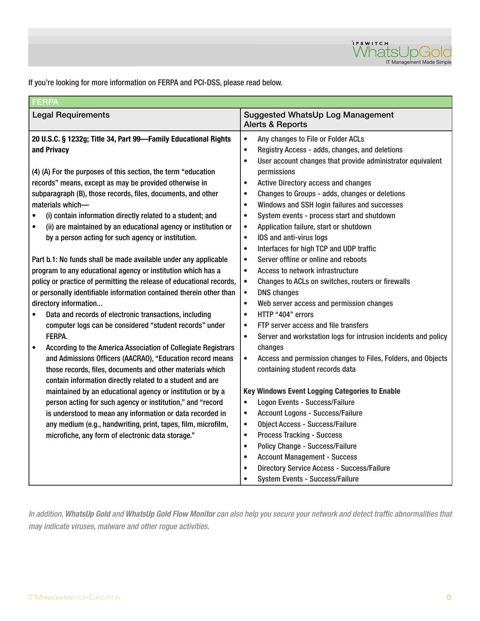

If you're looking for more information on FERPA and PCI-DSS, please read below.

| <b>FERPA</b>                                                               |                                                                             |  |
|----------------------------------------------------------------------------|-----------------------------------------------------------------------------|--|
| <b>Legal Requirements</b>                                                  | <b>Suggested WhatsUp Log Management</b><br><b>Alerts &amp; Reports</b>      |  |
| 20 U.S.C. § 1232g; Title 34, Part 99-Family Educational Rights             | Any changes to File or Folder ACLs<br>$\bullet$                             |  |
| and Privacy                                                                | Registry Access - adds, changes, and deletions<br>$\bullet$                 |  |
|                                                                            | User account changes that provide administrator equivalent<br>$\bullet$     |  |
| (4) (A) For the purposes of this section, the term "education              | permissions                                                                 |  |
| records" means, except as may be provided otherwise in                     | <b>Active Directory access and changes</b><br>$\bullet$                     |  |
| subparagraph (B), those records, files, documents, and other               | Changes to Groups - adds, changes or deletions<br>$\bullet$                 |  |
| materials which-                                                           | Windows and SSH login failures and successes<br>$\bullet$                   |  |
| (i) contain information directly related to a student; and                 | System events - process start and shutdown<br>$\bullet$                     |  |
| (ii) are maintained by an educational agency or institution or             | Application failure, start or shutdown<br>$\bullet$                         |  |
| by a person acting for such agency or institution.                         | IDS and anti-virus logs<br>$\bullet$                                        |  |
|                                                                            | Interfaces for high TCP and UDP traffic<br>$\bullet$                        |  |
| Part b.1: No funds shall be made available under any applicable            | Server offline or online and reboots<br>$\bullet$                           |  |
| program to any educational agency or institution which has a               | Access to network infrastructure<br>$\bullet$                               |  |
| policy or practice of permitting the release of educational records,       | Changes to ACLs on switches, routers or firewalls<br>$\bullet$              |  |
| or personally identifiable information contained therein other than        | <b>DNS</b> changes<br>$\bullet$                                             |  |
| directory information                                                      | Web server access and permission changes<br>$\bullet$                       |  |
| Data and records of electronic transactions, including<br>$\bullet$        | HTTP "404" errors<br>$\bullet$                                              |  |
| computer logs can be considered "student records" under                    | FTP server access and file transfers<br>$\bullet$                           |  |
| FERPA.                                                                     | Server and workstation logs for intrusion incidents and policy<br>$\bullet$ |  |
| According to the America Association of Collegiate Registrars<br>$\bullet$ | changes                                                                     |  |
| and Admissions Officers (AACRAO), "Education record means                  | Access and permission changes to Files, Folders, and Objects<br>$\bullet$   |  |
| those records, files, documents and other materials which                  | containing student records data                                             |  |
| contain information directly related to a student and are                  |                                                                             |  |
| maintained by an educational agency or institution or by a                 | Key Windows Event Logging Categories to Enable                              |  |
| person acting for such agency or institution," and "record                 | <b>Logon Events - Success/Failure</b><br>$\bullet$                          |  |
| is understood to mean any information or data recorded in                  | <b>Account Logons - Success/Failure</b><br>$\bullet$                        |  |
| any medium (e.g., handwriting, print, tapes, film, microfilm,              | <b>Object Access - Success/Failure</b><br>$\bullet$                         |  |
| microfiche, any form of electronic data storage."                          | <b>Process Tracking - Success</b><br>$\bullet$                              |  |
|                                                                            | <b>Policy Change - Success/Failure</b><br>$\bullet$                         |  |
|                                                                            | <b>Account Management - Success</b><br>$\bullet$                            |  |
|                                                                            | <b>Directory Service Access - Success/Failure</b><br>$\bullet$              |  |
|                                                                            | System Events - Success/Failure<br>$\bullet$                                |  |

In addition, *WhatsUp Gold* and *WhatsUp Gold Flow Monitor* can also help you secure your network and detect traffic abnormalities that may indicate viruses, malware and other rogue activities.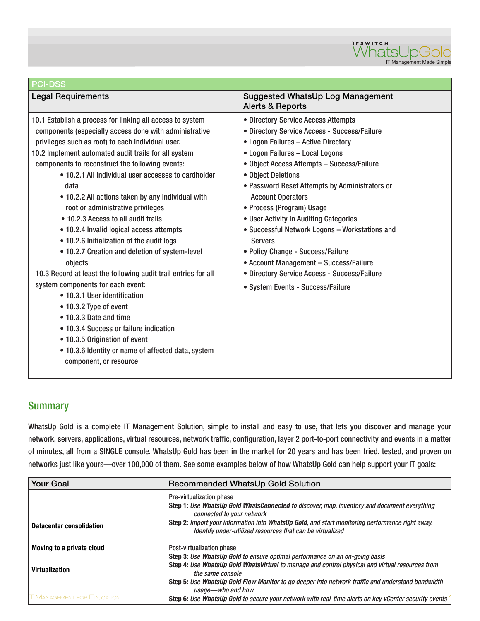

| <b>PCI-DSS</b>                                                                                                                                                                                                                                                                                                                                                                                                                                                                                                                                                                                                                                                                                                                                                                                                                                                                                                                                                                                  |                                                                                                                                                                                                                                                                                                                                                                                                                                                                                                                                                                                                                                |  |
|-------------------------------------------------------------------------------------------------------------------------------------------------------------------------------------------------------------------------------------------------------------------------------------------------------------------------------------------------------------------------------------------------------------------------------------------------------------------------------------------------------------------------------------------------------------------------------------------------------------------------------------------------------------------------------------------------------------------------------------------------------------------------------------------------------------------------------------------------------------------------------------------------------------------------------------------------------------------------------------------------|--------------------------------------------------------------------------------------------------------------------------------------------------------------------------------------------------------------------------------------------------------------------------------------------------------------------------------------------------------------------------------------------------------------------------------------------------------------------------------------------------------------------------------------------------------------------------------------------------------------------------------|--|
| <b>Legal Requirements</b>                                                                                                                                                                                                                                                                                                                                                                                                                                                                                                                                                                                                                                                                                                                                                                                                                                                                                                                                                                       | <b>Suggested WhatsUp Log Management</b><br><b>Alerts &amp; Reports</b>                                                                                                                                                                                                                                                                                                                                                                                                                                                                                                                                                         |  |
| 10.1 Establish a process for linking all access to system<br>components (especially access done with administrative<br>privileges such as root) to each individual user.<br>10.2 Implement automated audit trails for all system<br>components to reconstruct the following events:<br>• 10.2.1 All individual user accesses to cardholder<br>data<br>• 10.2.2 All actions taken by any individual with<br>root or administrative privileges<br>• 10.2.3 Access to all audit trails<br>• 10.2.4 Invalid logical access attempts<br>• 10.2.6 Initialization of the audit logs<br>. 10.2.7 Creation and deletion of system-level<br>objects<br>10.3 Record at least the following audit trail entries for all<br>system components for each event:<br>• 10.3.1 User identification<br>• 10.3.2 Type of event<br>• 10.3.3 Date and time<br>• 10.3.4 Success or failure indication<br>• 10.3.5 Origination of event<br>• 10.3.6 Identity or name of affected data, system<br>component, or resource | • Directory Service Access Attempts<br>• Directory Service Access - Success/Failure<br>• Logon Failures - Active Directory<br>• Logon Failures - Local Logons<br>• Object Access Attempts - Success/Failure<br>• Object Deletions<br>• Password Reset Attempts by Administrators or<br><b>Account Operators</b><br>• Process (Program) Usage<br>• User Activity in Auditing Categories<br>• Successful Network Logons - Workstations and<br><b>Servers</b><br>• Policy Change - Success/Failure<br>• Account Management - Success/Failure<br>• Directory Service Access - Success/Failure<br>• System Events - Success/Failure |  |
|                                                                                                                                                                                                                                                                                                                                                                                                                                                                                                                                                                                                                                                                                                                                                                                                                                                                                                                                                                                                 |                                                                                                                                                                                                                                                                                                                                                                                                                                                                                                                                                                                                                                |  |

#### **Summary**

WhatsUp Gold is a complete IT Management Solution, simple to install and easy to use, that lets you discover and manage your network, servers, applications, virtual resources, network traffic, configuration, layer 2 port-to-port connectivity and events in a matter of minutes, all from a SINGLE console. WhatsUp Gold has been in the market for 20 years and has been tried, tested, and proven on networks just like yours—over 100,000 of them. See some examples below of how WhatsUp Gold can help support your IT goals:

| <b>Your Goal</b>                  | <b>Recommended WhatsUp Gold Solution</b>                                                                                                                     |  |
|-----------------------------------|--------------------------------------------------------------------------------------------------------------------------------------------------------------|--|
|                                   | Pre-virtualization phase                                                                                                                                     |  |
|                                   | Step 1: Use WhatsUp Gold WhatsConnected to discover, map, inventory and document everything<br>connected to your network                                     |  |
| <b>Datacenter consolidation</b>   | Step 2: Import your information into WhatsUp Gold, and start monitoring performance right away.<br>Identify under-utilized resources that can be virtualized |  |
| Moving to a private cloud         | Post-virtualization phase                                                                                                                                    |  |
|                                   | Step 3: Use WhatsUp Gold to ensure optimal performance on an on-going basis                                                                                  |  |
| <b>Virtualization</b>             | Step 4: Use WhatsUp Gold WhatsVirtual to manage and control physical and virtual resources from<br>the same console                                          |  |
|                                   | Step 5: Use WhatsUp Gold Flow Monitor to go deeper into network traffic and understand bandwidth<br>usage-who and how                                        |  |
| <b>T MANAGEMENT FOR EDUCATION</b> | Step 6: Use WhatsUp Gold to secure your network with real-time alerts on key vCenter security events                                                         |  |